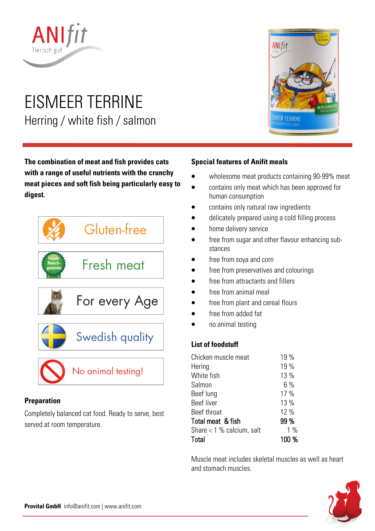

# EISMEER TERRINE Herring / white fish / salmon

**The combination of meat and fish provides cats with a range of useful nutrients with the crunchy meat pieces and soft fish being particularly easy to digest.** 



# **Preparation**

Completely balanced cat food. Ready to serve, best served at room temperature.



## **Special features of Anifit meals**

- wholesome meat products containing 90-99% meat
- contains only meat which has been approved for human consumption
- contains only natural raw ingredients
- delicately prepared using a cold filling process
- home delivery service
- free from sugar and other flavour enhancing substances
- free from soya and corn
- free from preservatives and colourings
- free from attractants and fillers
- free from animal meal
- free from plant and cereal flours
- free from added fat
- no animal testing

#### **List of foodstuff**

| Chicken muscle meat         | 19 %  |
|-----------------------------|-------|
| Hering                      | 19 %  |
| White fish                  | 13 %  |
| Salmon                      | 6%    |
| Beef lung                   | 17 %  |
| <b>Beef liver</b>           | 13 %  |
| Beef throat                 | 12 %  |
| Total meat & fish           | 99 %  |
| Share $<$ 1 % calcium, salt | $1\%$ |
| Total                       | 100 % |
|                             |       |

Muscle meat includes skeletal muscles as well as heart and stomach muscles.